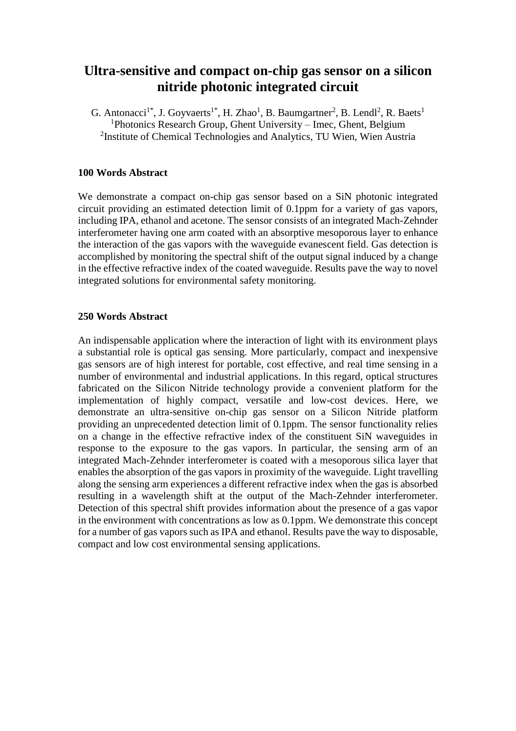## **Ultra-sensitive and compact on-chip gas sensor on a silicon nitride photonic integrated circuit**

G. Antonacci<sup>1\*</sup>, J. Goyvaerts<sup>1\*</sup>, H. Zhao<sup>1</sup>, B. Baumgartner<sup>2</sup>, B. Lendl<sup>2</sup>, R. Baets<sup>1</sup> <sup>1</sup>Photonics Research Group, Ghent University – Imec, Ghent, Belgium <sup>2</sup>Institute of Chemical Technologies and Analytics, TU Wien, Wien Austria

## **100 Words Abstract**

We demonstrate a compact on-chip gas sensor based on a SiN photonic integrated circuit providing an estimated detection limit of 0.1ppm for a variety of gas vapors, including IPA, ethanol and acetone. The sensor consists of an integrated Mach-Zehnder interferometer having one arm coated with an absorptive mesoporous layer to enhance the interaction of the gas vapors with the waveguide evanescent field. Gas detection is accomplished by monitoring the spectral shift of the output signal induced by a change in the effective refractive index of the coated waveguide. Results pave the way to novel integrated solutions for environmental safety monitoring.

## **250 Words Abstract**

An indispensable application where the interaction of light with its environment plays a substantial role is optical gas sensing. More particularly, compact and inexpensive gas sensors are of high interest for portable, cost effective, and real time sensing in a number of environmental and industrial applications. In this regard, optical structures fabricated on the Silicon Nitride technology provide a convenient platform for the implementation of highly compact, versatile and low-cost devices. Here, we demonstrate an ultra-sensitive on-chip gas sensor on a Silicon Nitride platform providing an unprecedented detection limit of 0.1ppm. The sensor functionality relies on a change in the effective refractive index of the constituent SiN waveguides in response to the exposure to the gas vapors. In particular, the sensing arm of an integrated Mach-Zehnder interferometer is coated with a mesoporous silica layer that enables the absorption of the gas vapors in proximity of the waveguide. Light travelling along the sensing arm experiences a different refractive index when the gas is absorbed resulting in a wavelength shift at the output of the Mach-Zehnder interferometer. Detection of this spectral shift provides information about the presence of a gas vapor in the environment with concentrations as low as 0.1ppm. We demonstrate this concept for a number of gas vapors such as IPA and ethanol. Results pave the way to disposable, compact and low cost environmental sensing applications.